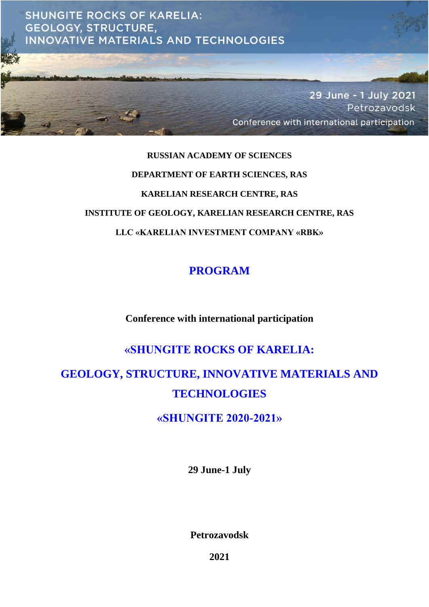

# **RUSSIAN ACADEMY OF SCIENCES DEPARTMENT OF EARTH SCIENCES, RAS KARELIAN RESEARCH CENTRE, RAS INSTITUTE OF GEOLOGY, KARELIAN RESEARCH CENTRE, RAS LLC «KARELIAN INVESTMENT COMPANY «RBK»**

## **PROGRAM**

**Conference with international participation**

## **«SHUNGITE ROCKS OF KARELIA:**

## **GEOLOGY, STRUCTURE, INNOVATIVE MATERIALS AND TECHNOLOGIES**

**«SHUNGITE 2020-2021»**

**29 June-1 July**

**Petrozavodsk**

**2021**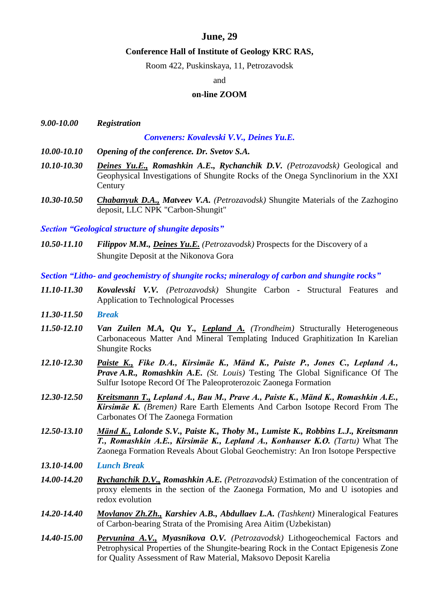#### **June, 29**

#### **Conference Hall of Institute of Geology KRC RAS,**

Room 422, Puskinskaya, 11, Petrozavodsk

#### and

#### **on-line ZOOM**

| 9.00-10.00 | <b>Registration</b> |                                          |
|------------|---------------------|------------------------------------------|
|            |                     | Conveners: Kovalevski V.V., Deines Yu.E. |

- *10.00-10.10 Opening of the conference. Dr. Svetov S.A.*
- *10.10-10.30 Deines Yu.Е., Romashkin A.E., Rychanchik D.V. (Petrozavodsk)* Geological and Geophysical Investigations of Shungite Rocks of the Onega Synclinorium in the XXI **Century**
- *10.30-10.50 Chabanyuk D.A., Matveev V.A. (Petrozavodsk)* Shungite Materials of the Zazhogino deposit, LLC NPK "Carbon-Shungit"

*Section "Geological structure of shungite deposits"*

*10.50-11.10 Filippov M.M., Deines Yu.E. (Petrozavodsk)* Prospects for the Discovery of a Shungite Deposit at the Nikonova Gora

*Section "Litho- and geochemistry of shungite rocks; mineralogy of carbon and shungite rocks"*

- *11.10-11.30 Kovalevski V.V. (Petrozavodsk)* Shungite Carbon Structural Features and Application to Technological Processes
- *11.30-11.50 Break*
- *11.50-12.10 Van Zuilen M.A, Qu Y., Lepland A. (Trondheim)* Structurally Heterogeneous Carbonaceous Matter And Mineral Templating Induced Graphitization In Karelian Shungite Rocks
- *12.10-12.30 Paiste K., Fike D.A., Kirsimäe K., Mänd K., Paiste P., Jones C., Lepland A., Prave A.R., Romashkin A.E. (St. Louis)* Testing The Global Significance Of The Sulfur Isotope Record Of The Paleoproterozoic Zaonega Formation
- *12.30-12.50 Kreitsmann T., Lepland A., Bau M., Prave A., Paiste K., Mänd K., Romashkin A.E., Kirsimäe K. (Bremen)* Rare Earth Elements And Carbon Isotope Record From The Carbonates Of The Zaonega Formation
- *12.50-13.10 Mänd K., Lalonde S.V., Paiste K., Thoby M., Lumiste K., Robbins L.J., Kreitsmann T., Romashkin A.E., Kirsimäe K., Lepland A., Konhauser K.O. (Tartu)* What The Zaonega Formation Reveals About Global Geochemistry: An Iron Isotope Perspective
- *13.10-14.00 Lunch Break*
- *14.00-14.20 Rychanchik D.V., Romashkin A.E. (Petrozavodsk)* Estimation of the concentration of proxy elements in the section of the Zaonega Formation, Mo and U isotopies and redox evolution
- *14.20-14.40 Movlanov Zh.Zh., Karshiev A.B., Abdullaev L.A. (Tashkent)* Mineralogical Features of Carbon-bearing Strata of the Promising Area Aitim (Uzbekistan)
- *14.40-15.00 Pervunina A.V., Myasnikova O.V. (Petrozavodsk)* Lithogeochemical Factors and Petrophysical Properties of the Shungite-bearing Rock in the Contact Epigenesis Zone for Quality Assessment of Raw Material, Maksovo Deposit Karelia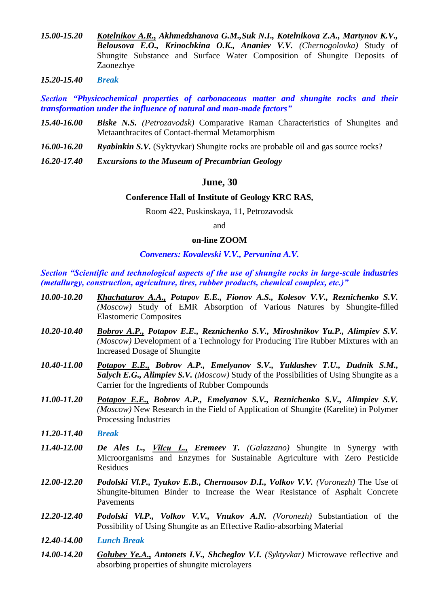- *15.00-15.20 Kotelnikov A.R., Akhmedzhanova G.M.,Suk N.I., Kotelnikova Z.A., Martynov K.V., Belousova E.O., Krinochkina O.K., Ananiev V.V. (Chernogolovka)* Study of Shungite Substance and Surface Water Composition of Shungite Deposits of Zaonezhye
- *15.20-15.40 Break*

*Section "Physicochemical properties of carbonaceous matter and shungite rocks and their transformation under the influence of natural and man-made factors"*

- *15.40-16.00 Biske N.S. (Petrozavodsk)* Comparative Raman Characteristics of Shungites and Metaanthracites of Contact-thermal Metamorphism
- *16.00-16.20 Ryabinkin S.V.* (Syktyvkar) Shungite rocks are probable oil and gas source rocks?
- *16.20-17.40 Excursions to the Museum of Precambrian Geology*

#### **June, 30**

#### **Conference Hall of Institute of Geology KRC RAS,**

Room 422, Puskinskaya, 11, Petrozavodsk

#### and

#### **on-line ZOOM**

#### *Conveners: Kovalevski V.V., Pervunina A.V.*

*Section "Scientific and technological aspects of the use of shungite rocks in large-scale industries (metallurgy, construction, agriculture, tires, rubber products, chemical complex, etc.)"*

- *10.00-10.20 Khachaturov A.A., Potapov E.E., Fionov A.S., Kolesov V.V., Reznichenko S.V. (Moscow)* Study of EMR Absorption of Various Natures by Shungite-filled Elastomeric Composites
- *10.20-10.40 Bobrov A.P., Potapov E.E., Reznichenko S.V., Miroshnikov Yu.P., Alimpiev S.V. (Moscow)* Development of a Technology for Producing Tire Rubber Mixtures with an Increased Dosage of Shungite
- *10.40-11.00 Potapov E.E., Bobrov A.P., Emelyanov S.V., Yuldashev T.U., Dudnik S.M., Salych E.G., Alimpiev S.V. (Moscow)* Study of the Possibilities of Using Shungite as a Carrier for the Ingredients of Rubber Compounds
- *11.00-11.20 Potapov E.E., Bobrov A.P., Emelyanov S.V., Reznichenko S.V., Alimpiev S.V. (Moscow)* New Research in the Field of Application of Shungite (Karelite) in Polymer Processing Industries
- *11.20-11.40 Break*
- *11.40-12.00 De Ales L., Vîlcu L., Eremeev T. (Galazzano)* Shungite in Synergy with Microorganisms and Enzymes for Sustainable Agriculture with Zero Pesticide Residues
- *12.00-12.20 Podolski Vl.P., Tyukov E.B., Chernousov D.I., Volkov V.V. (Voronezh)* The Use of Shungite-bitumen Binder to Increase the Wear Resistance of Asphalt Concrete Pavements
- *12.20-12.40 Podolski Vl.P., Volkov V.V., Vnukov A.N. (Voronezh)* Substantiation of the Possibility of Using Shungite as an Effective Radio-absorbing Material
- *12.40-14.00 Lunch Break*
- *14.00-14.20 Golubev Ye.A., Antonets I.V., Shcheglov V.I. (Syktyvkar)* Microwave reflective and absorbing properties of shungite microlayers